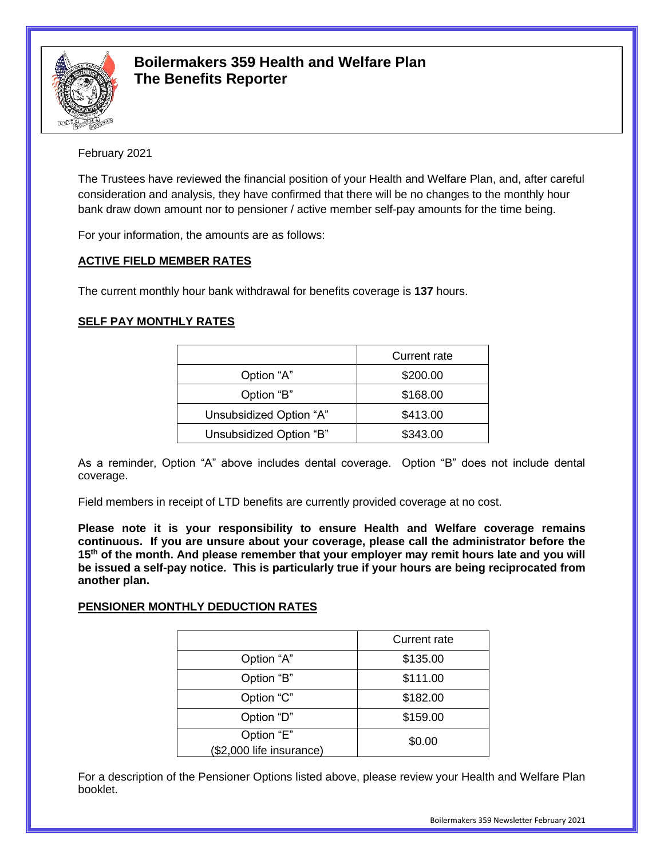

# **Boilermakers 359 Health and Welfare Plan The Benefits Reporter**

# February 2021

The Trustees have reviewed the financial position of your Health and Welfare Plan, and, after careful consideration and analysis, they have confirmed that there will be no changes to the monthly hour bank draw down amount nor to pensioner / active member self-pay amounts for the time being.

For your information, the amounts are as follows:

### **ACTIVE FIELD MEMBER RATES**

The current monthly hour bank withdrawal for benefits coverage is **137** hours.

# **SELF PAY MONTHLY RATES**

|                         | Current rate |
|-------------------------|--------------|
| Option "A"              | \$200.00     |
| Option "B"              | \$168.00     |
| Unsubsidized Option "A" | \$413.00     |
| Unsubsidized Option "B" | \$343.00     |

As a reminder, Option "A" above includes dental coverage. Option "B" does not include dental coverage.

Field members in receipt of LTD benefits are currently provided coverage at no cost.

**Please note it is your responsibility to ensure Health and Welfare coverage remains continuous. If you are unsure about your coverage, please call the administrator before the 15th of the month. And please remember that your employer may remit hours late and you will be issued a self-pay notice. This is particularly true if your hours are being reciprocated from another plan.**

### **PENSIONER MONTHLY DEDUCTION RATES**

|                                        | Current rate |
|----------------------------------------|--------------|
| Option "A"                             | \$135.00     |
| Option "B"                             | \$111.00     |
| Option "C"                             | \$182.00     |
| Option "D"                             | \$159.00     |
| Option "E"<br>(\$2,000 life insurance) | \$0.00       |
|                                        |              |

For a description of the Pensioner Options listed above, please review your Health and Welfare Plan booklet.